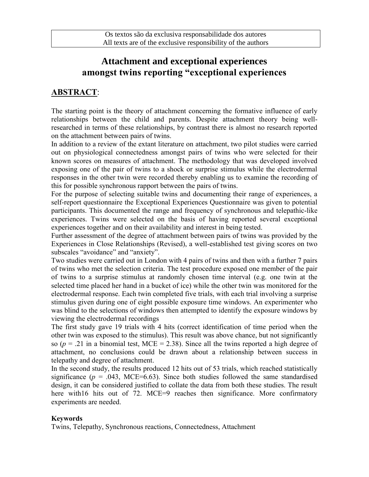## **Attachment and exceptional experiences amongst twins reporting "exceptional experiences**

## **ABSTRACT**:

The starting point is the theory of attachment concerning the formative influence of early relationships between the child and parents. Despite attachment theory being wellresearched in terms of these relationships, by contrast there is almost no research reported on the attachment between pairs of twins.

In addition to a review of the extant literature on attachment, two pilot studies were carried out on physiological connectedness amongst pairs of twins who were selected for their known scores on measures of attachment. The methodology that was developed involved exposing one of the pair of twins to a shock or surprise stimulus while the electrodermal responses in the other twin were recorded thereby enabling us to examine the recording of this for possible synchronous rapport between the pairs of twins.

For the purpose of selecting suitable twins and documenting their range of experiences, a self-report questionnaire the Exceptional Experiences Questionnaire was given to potential participants. This documented the range and frequency of synchronous and telepathic-like experiences. Twins were selected on the basis of having reported several exceptional experiences together and on their availability and interest in being tested.

Further assessment of the degree of attachment between pairs of twins was provided by the Experiences in Close Relationships (Revised), a well-established test giving scores on two subscales "avoidance" and "anxiety".

Two studies were carried out in London with 4 pairs of twins and then with a further 7 pairs of twins who met the selection criteria. The test procedure exposed one member of the pair of twins to a surprise stimulus at randomly chosen time interval (e.g. one twin at the selected time placed her hand in a bucket of ice) while the other twin was monitored for the electrodermal response. Each twin completed five trials, with each trial involving a surprise stimulus given during one of eight possible exposure time windows. An experimenter who was blind to the selections of windows then attempted to identify the exposure windows by viewing the electrodermal recordings

The first study gave 19 trials with 4 hits (correct identification of time period when the other twin was exposed to the stimulus). This result was above chance, but not significantly so ( $p = .21$  in a binomial test, MCE = 2.38). Since all the twins reported a high degree of attachment, no conclusions could be drawn about a relationship between success in telepathy and degree of attachment.

In the second study, the results produced 12 hits out of 53 trials, which reached statistically significance  $(p = .043, \text{ MCE} = 6.63)$ . Since both studies followed the same standardised design, it can be considered justified to collate the data from both these studies. The result here with16 hits out of 72. MCE=9 reaches then significance. More confirmatory experiments are needed.

## **Keywords**

Twins, Telepathy, Synchronous reactions, Connectedness, Attachment